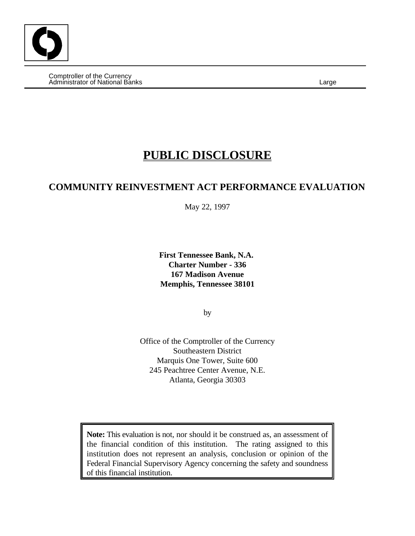Comptroller of the Currency Administrator of National Banks Large

# **PUBLIC DISCLOSURE**

## **COMMUNITY REINVESTMENT ACT PERFORMANCE EVALUATION**

May 22, 1997

**First Tennessee Bank, N.A. Charter Number - 336 167 Madison Avenue Memphis, Tennessee 38101**

by

Office of the Comptroller of the Currency Southeastern District Marquis One Tower, Suite 600 245 Peachtree Center Avenue, N.E. Atlanta, Georgia 30303

**Note:** This evaluation is not, nor should it be construed as, an assessment of the financial condition of this institution. The rating assigned to this institution does not represent an analysis, conclusion or opinion of the Federal Financial Supervisory Agency concerning the safety and soundness of this financial institution.

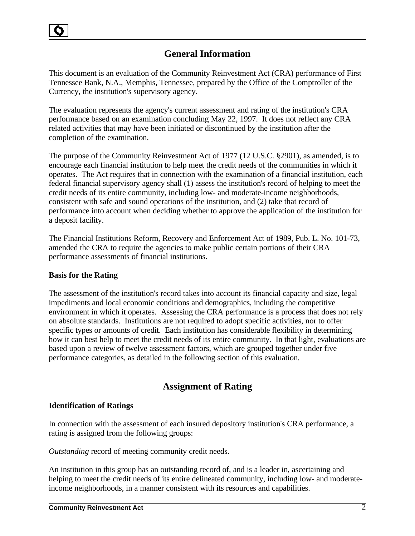## **General Information**

This document is an evaluation of the Community Reinvestment Act (CRA) performance of First Tennessee Bank, N.A., Memphis, Tennessee, prepared by the Office of the Comptroller of the Currency, the institution's supervisory agency.

The evaluation represents the agency's current assessment and rating of the institution's CRA performance based on an examination concluding May 22, 1997. It does not reflect any CRA related activities that may have been initiated or discontinued by the institution after the completion of the examination.

The purpose of the Community Reinvestment Act of 1977 (12 U.S.C. §2901), as amended, is to encourage each financial institution to help meet the credit needs of the communities in which it operates. The Act requires that in connection with the examination of a financial institution, each federal financial supervisory agency shall (1) assess the institution's record of helping to meet the credit needs of its entire community, including low- and moderate-income neighborhoods, consistent with safe and sound operations of the institution, and (2) take that record of performance into account when deciding whether to approve the application of the institution for a deposit facility.

The Financial Institutions Reform, Recovery and Enforcement Act of 1989, Pub. L. No. 101-73, amended the CRA to require the agencies to make public certain portions of their CRA performance assessments of financial institutions.

## **Basis for the Rating**

The assessment of the institution's record takes into account its financial capacity and size, legal impediments and local economic conditions and demographics, including the competitive environment in which it operates. Assessing the CRA performance is a process that does not rely on absolute standards. Institutions are not required to adopt specific activities, nor to offer specific types or amounts of credit. Each institution has considerable flexibility in determining how it can best help to meet the credit needs of its entire community. In that light, evaluations are based upon a review of twelve assessment factors, which are grouped together under five performance categories, as detailed in the following section of this evaluation.

## **Assignment of Rating**

## **Identification of Ratings**

In connection with the assessment of each insured depository institution's CRA performance, a rating is assigned from the following groups:

*Outstanding* record of meeting community credit needs.

An institution in this group has an outstanding record of, and is a leader in, ascertaining and helping to meet the credit needs of its entire delineated community, including low- and moderateincome neighborhoods, in a manner consistent with its resources and capabilities.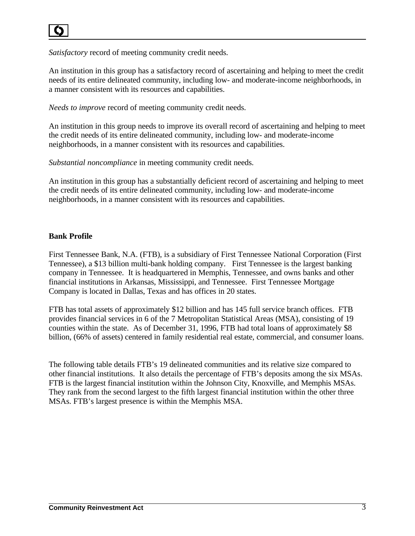*Satisfactory* record of meeting community credit needs.

An institution in this group has a satisfactory record of ascertaining and helping to meet the credit needs of its entire delineated community, including low- and moderate-income neighborhoods, in a manner consistent with its resources and capabilities.

*Needs to improve* record of meeting community credit needs.

An institution in this group needs to improve its overall record of ascertaining and helping to meet the credit needs of its entire delineated community, including low- and moderate-income neighborhoods, in a manner consistent with its resources and capabilities.

*Substantial noncompliance* in meeting community credit needs.

An institution in this group has a substantially deficient record of ascertaining and helping to meet the credit needs of its entire delineated community, including low- and moderate-income neighborhoods, in a manner consistent with its resources and capabilities.

## **Bank Profile**

First Tennessee Bank, N.A. (FTB), is a subsidiary of First Tennessee National Corporation (First Tennessee), a \$13 billion multi-bank holding company. First Tennessee is the largest banking company in Tennessee. It is headquartered in Memphis, Tennessee, and owns banks and other financial institutions in Arkansas, Mississippi, and Tennessee. First Tennessee Mortgage Company is located in Dallas, Texas and has offices in 20 states.

FTB has total assets of approximately \$12 billion and has 145 full service branch offices. FTB provides financial services in 6 of the 7 Metropolitan Statistical Areas (MSA), consisting of 19 counties within the state. As of December 31, 1996, FTB had total loans of approximately \$8 billion, (66% of assets) centered in family residential real estate, commercial, and consumer loans.

The following table details FTB's 19 delineated communities and its relative size compared to other financial institutions. It also details the percentage of FTB's deposits among the six MSAs. FTB is the largest financial institution within the Johnson City, Knoxville, and Memphis MSAs. They rank from the second largest to the fifth largest financial institution within the other three MSAs. FTB's largest presence is within the Memphis MSA.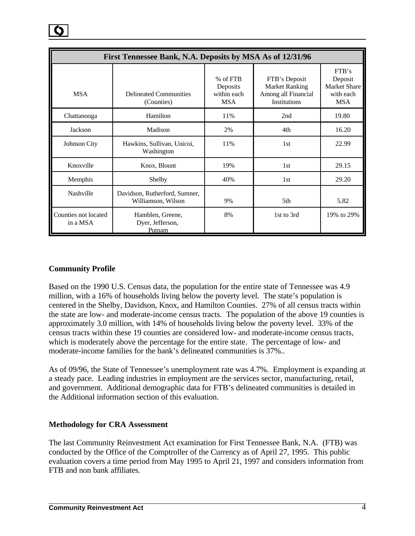|                                  | First Tennessee Bank, N.A. Deposits by MSA As of 12/31/96 |                                                     |                                                                               |                                                                    |  |  |  |
|----------------------------------|-----------------------------------------------------------|-----------------------------------------------------|-------------------------------------------------------------------------------|--------------------------------------------------------------------|--|--|--|
| <b>MSA</b>                       | <b>Delineated Communities</b><br>(Counties)               | $%$ of FTB<br>Deposits<br>within each<br><b>MSA</b> | FTB's Deposit<br><b>Market Ranking</b><br>Among all Financial<br>Institutions | FTB's<br>Deposit<br><b>Market Share</b><br>with each<br><b>MSA</b> |  |  |  |
| Chattanooga                      | Hamilton                                                  | 11%                                                 | 2nd                                                                           | 19.80                                                              |  |  |  |
| Jackson                          | Madison                                                   | 2%                                                  | 4th                                                                           | 16.20                                                              |  |  |  |
| Johnson City                     | Hawkins, Sullivan, Unicoi,<br>Washington                  | 11%                                                 | 1st                                                                           | 22.99                                                              |  |  |  |
| Knoxville                        | Knox, Blount                                              | 19%                                                 | 1st                                                                           | 29.15                                                              |  |  |  |
| Memphis                          | Shelby                                                    | 40%                                                 | 1st                                                                           | 29.20                                                              |  |  |  |
| Nashville                        | Davidson, Rutherford, Sumner,<br>Williamson, Wilson       | 9%                                                  | 5th                                                                           | 5.82                                                               |  |  |  |
| Counties not located<br>in a MSA | Hamblen, Greene,<br>Dyer, Jefferson,<br>Putnam            | 8%                                                  | 1st to 3rd                                                                    | 19% to 29%                                                         |  |  |  |

## **Community Profile**

Based on the 1990 U.S. Census data, the population for the entire state of Tennessee was 4.9 million, with a 16% of households living below the poverty level. The state's population is centered in the Shelby, Davidson, Knox, and Hamilton Counties. 27% of all census tracts within the state are low- and moderate-income census tracts. The population of the above 19 counties is approximately 3.0 million, with 14% of households living below the poverty level. 33% of the census tracts within these 19 counties are considered low- and moderate-income census tracts, which is moderately above the percentage for the entire state. The percentage of low- and moderate-income families for the bank's delineated communities is 37%..

As of 09/96, the State of Tennessee's unemployment rate was 4.7%. Employment is expanding at a steady pace. Leading industries in employment are the services sector, manufacturing, retail, and government. Additional demographic data for FTB's delineated communities is detailed in the Additional information section of this evaluation.

#### **Methodology for CRA Assessment**

The last Community Reinvestment Act examination for First Tennessee Bank, N.A. (FTB) was conducted by the Office of the Comptroller of the Currency as of April 27, 1995. This public evaluation covers a time period from May 1995 to April 21, 1997 and considers information from FTB and non bank affiliates.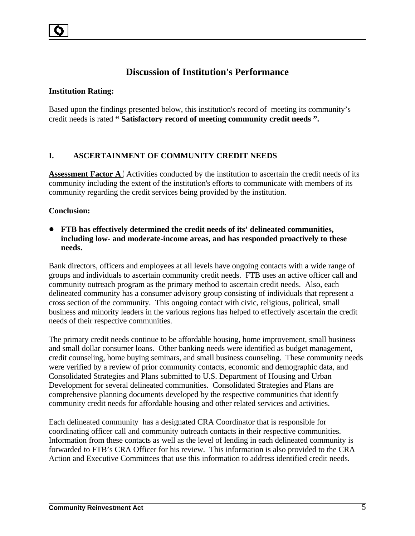## **Discussion of Institution's Performance**

#### **Institution Rating:**

Based upon the findings presented below, this institution's record of meeting its community's credit needs is rated **" Satisfactory record of meeting community credit needs ".**

#### **I. ASCERTAINMENT OF COMMUNITY CREDIT NEEDS**

**Assessment Factor A**) Activities conducted by the institution to ascertain the credit needs of its community including the extent of the institution's efforts to communicate with members of its community regarding the credit services being provided by the institution.

#### **Conclusion:**

! **FTB has effectively determined the credit needs of its' delineated communities, including low- and moderate-income areas, and has responded proactively to these needs.**

Bank directors, officers and employees at all levels have ongoing contacts with a wide range of groups and individuals to ascertain community credit needs. FTB uses an active officer call and community outreach program as the primary method to ascertain credit needs. Also, each delineated community has a consumer advisory group consisting of individuals that represent a cross section of the community. This ongoing contact with civic, religious, political, small business and minority leaders in the various regions has helped to effectively ascertain the credit needs of their respective communities.

The primary credit needs continue to be affordable housing, home improvement, small business and small dollar consumer loans. Other banking needs were identified as budget management, credit counseling, home buying seminars, and small business counseling. These community needs were verified by a review of prior community contacts, economic and demographic data, and Consolidated Strategies and Plans submitted to U.S. Department of Housing and Urban Development for several delineated communities. Consolidated Strategies and Plans are comprehensive planning documents developed by the respective communities that identify community credit needs for affordable housing and other related services and activities.

Each delineated community has a designated CRA Coordinator that is responsible for coordinating officer call and community outreach contacts in their respective communities. Information from these contacts as well as the level of lending in each delineated community is forwarded to FTB's CRA Officer for his review. This information is also provided to the CRA Action and Executive Committees that use this information to address identified credit needs.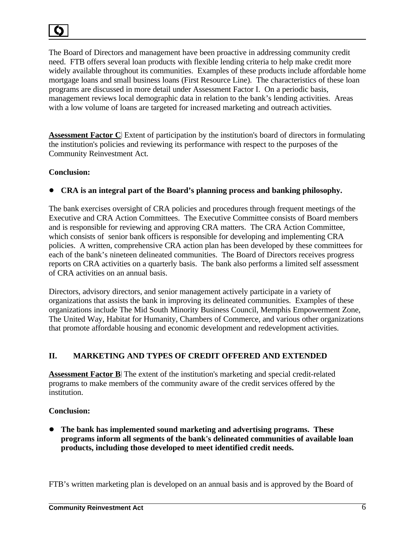The Board of Directors and management have been proactive in addressing community credit need. FTB offers several loan products with flexible lending criteria to help make credit more widely available throughout its communities. Examples of these products include affordable home mortgage loans and small business loans (First Resource Line). The characteristics of these loan programs are discussed in more detail under Assessment Factor I. On a periodic basis, management reviews local demographic data in relation to the bank's lending activities. Areas with a low volume of loans are targeted for increased marketing and outreach activities.

**Assessment Factor C**) Extent of participation by the institution's board of directors in formulating the institution's policies and reviewing its performance with respect to the purposes of the Community Reinvestment Act.

## **Conclusion:**

! **CRA is an integral part of the Board's planning process and banking philosophy.**

The bank exercises oversight of CRA policies and procedures through frequent meetings of the Executive and CRA Action Committees. The Executive Committee consists of Board members and is responsible for reviewing and approving CRA matters. The CRA Action Committee, which consists of senior bank officers is responsible for developing and implementing CRA policies. A written, comprehensive CRA action plan has been developed by these committees for each of the bank's nineteen delineated communities. The Board of Directors receives progress reports on CRA activities on a quarterly basis. The bank also performs a limited self assessment of CRA activities on an annual basis.

Directors, advisory directors, and senior management actively participate in a variety of organizations that assists the bank in improving its delineated communities. Examples of these organizations include The Mid South Minority Business Council, Memphis Empowerment Zone, The United Way, Habitat for Humanity, Chambers of Commerce, and various other organizations that promote affordable housing and economic development and redevelopment activities.

## **II. MARKETING AND TYPES OF CREDIT OFFERED AND EXTENDED**

**Assessment Factor B**) The extent of the institution's marketing and special credit-related programs to make members of the community aware of the credit services offered by the institution.

## **Conclusion:**

! **The bank has implemented sound marketing and advertising programs. These programs inform all segments of the bank's delineated communities of available loan products, including those developed to meet identified credit needs.**

FTB's written marketing plan is developed on an annual basis and is approved by the Board of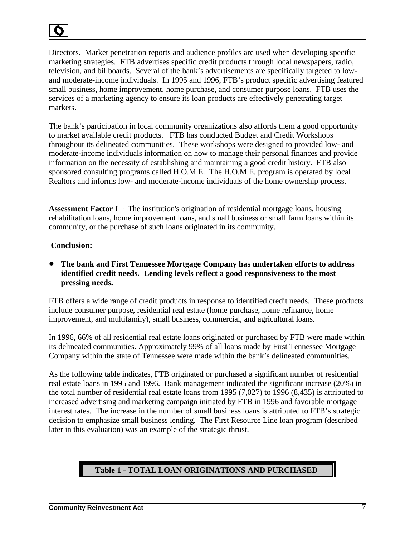Directors. Market penetration reports and audience profiles are used when developing specific marketing strategies. FTB advertises specific credit products through local newspapers, radio, television, and billboards. Several of the bank's advertisements are specifically targeted to lowand moderate-income individuals. In 1995 and 1996, FTB's product specific advertising featured small business, home improvement, home purchase, and consumer purpose loans. FTB uses the services of a marketing agency to ensure its loan products are effectively penetrating target markets.

The bank's participation in local community organizations also affords them a good opportunity to market available credit products. FTB has conducted Budget and Credit Workshops throughout its delineated communities. These workshops were designed to provided low- and moderate-income individuals information on how to manage their personal finances and provide information on the necessity of establishing and maintaining a good credit history. FTB also sponsored consulting programs called H.O.M.E. The H.O.M.E. program is operated by local Realtors and informs low- and moderate-income individuals of the home ownership process.

**Assessment Factor I** ) The institution's origination of residential mortgage loans, housing rehabilitation loans, home improvement loans, and small business or small farm loans within its community, or the purchase of such loans originated in its community.

#### **Conclusion:**

## ! **The bank and First Tennessee Mortgage Company has undertaken efforts to address identified credit needs. Lending levels reflect a good responsiveness to the most pressing needs.**

FTB offers a wide range of credit products in response to identified credit needs. These products include consumer purpose, residential real estate (home purchase, home refinance, home improvement, and multifamily), small business, commercial, and agricultural loans.

In 1996, 66% of all residential real estate loans originated or purchased by FTB were made within its delineated communities. Approximately 99% of all loans made by First Tennessee Mortgage Company within the state of Tennessee were made within the bank's delineated communities.

As the following table indicates, FTB originated or purchased a significant number of residential real estate loans in 1995 and 1996. Bank management indicated the significant increase (20%) in the total number of residential real estate loans from 1995 (7,027) to 1996 (8,435) is attributed to increased advertising and marketing campaign initiated by FTB in 1996 and favorable mortgage interest rates. The increase in the number of small business loans is attributed to FTB's strategic decision to emphasize small business lending. The First Resource Line loan program (described later in this evaluation) was an example of the strategic thrust.

## **Table 1 - TOTAL LOAN ORIGINATIONS AND PURCHASED**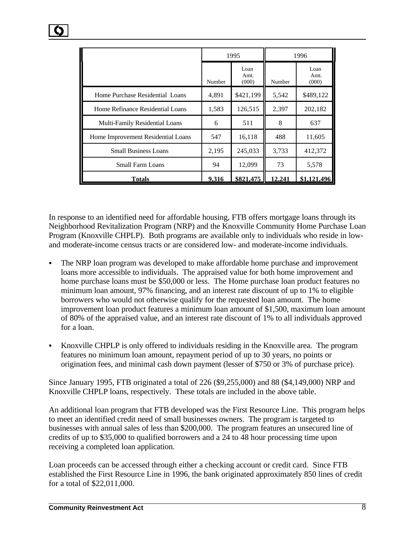|                                    | 1995   |                       | 1996   |                       |
|------------------------------------|--------|-----------------------|--------|-----------------------|
|                                    | Number | Loan<br>Amt.<br>(000) | Number | Loan<br>Amt.<br>(000) |
| Home Purchase Residential Loans    | 4,891  | \$421,199             | 5,542  | \$489,122             |
| Home Refinance Residential Loans   | 1,583  | 126,515               | 2,397  | 202,182               |
| Multi-Family Residential Loans     | 6      | 511                   | 8      | 637                   |
| Home Improvement Residential Loans | 547    | 16,118                | 488    | 11,605                |
| <b>Small Business Loans</b>        | 2,195  | 245,033               | 3,733  | 412,372               |
| <b>Small Farm Loans</b>            | 94     | 12,099                | 73     | 5,578                 |
| Totals                             | 9,316  | \$821,475             | 12,241 | \$1,121,496           |

In response to an identified need for affordable housing, FTB offers mortgage loans through its Neighborhood Revitalization Program (NRP) and the Knoxville Community Home Purchase Loan Program (Knoxville CHPLP). Both programs are available only to individuals who reside in lowand moderate-income census tracts or are considered low- and moderate-income individuals.

- The NRP loan program was developed to make affordable home purchase and improvement loans more accessible to individuals. The appraised value for both home improvement and home purchase loans must be \$50,000 or less. The Home purchase loan product features no minimum loan amount, 97% financing, and an interest rate discount of up to 1% to eligible borrowers who would not otherwise qualify for the requested loan amount. The home improvement loan product features a minimum loan amount of \$1,500, maximum loan amount of 80% of the appraised value, and an interest rate discount of 1% to all individuals approved for a loan.
- Knoxville CHPLP is only offered to individuals residing in the Knoxville area. The program features no minimum loan amount, repayment period of up to 30 years, no points or origination fees, and minimal cash down payment (lesser of \$750 or 3% of purchase price).

Since January 1995, FTB originated a total of 226 (\$9,255,000) and 88 (\$4,149,000) NRP and Knoxville CHPLP loans, respectively. These totals are included in the above table.

An additional loan program that FTB developed was the First Resource Line. This program helps to meet an identified credit need of small businesses owners. The program is targeted to businesses with annual sales of less than \$200,000. The program features an unsecured line of credits of up to \$35,000 to qualified borrowers and a 24 to 48 hour processing time upon receiving a completed loan application.

Loan proceeds can be accessed through either a checking account or credit card. Since FTB established the First Resource Line in 1996, the bank originated approximately 850 lines of credit for a total of \$22,011,000.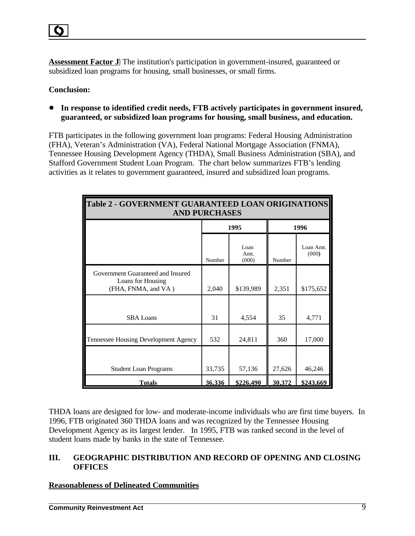**Assessment Factor J**) The institution's participation in government-insured, guaranteed or subsidized loan programs for housing, small businesses, or small firms.

#### **Conclusion:**

! **In response to identified credit needs, FTB actively participates in government insured, guaranteed, or subsidized loan programs for housing, small business, and education.**

FTB participates in the following government loan programs: Federal Housing Administration (FHA), Veteran's Administration (VA), Federal National Mortgage Association (FNMA), Tennessee Housing Development Agency (THDA), Small Business Administration (SBA), and Stafford Government Student Loan Program. The chart below summarizes FTB's lending activities as it relates to government guaranteed, insured and subsidized loan programs.

| <b>Table 2 - GOVERNMENT GUARANTEED LOAN ORIGINATIONS</b><br><b>AND PURCHASES</b> |        |                       |        |                    |
|----------------------------------------------------------------------------------|--------|-----------------------|--------|--------------------|
|                                                                                  |        | 1995                  | 1996   |                    |
|                                                                                  | Number | Loan<br>Amt.<br>(000) | Number | Loan Amt.<br>(000) |
| Government Guaranteed and Insured<br>Loans for Housing<br>(FHA, FNMA, and VA)    | 2,040  | \$139,989             | 2,351  | \$175,652          |
| <b>SBA</b> Loans                                                                 | 31     | 4,554                 | 35     | 4,771              |
| Tennessee Housing Development Agency                                             | 532    | 24,811                | 360    | 17,000             |
| <b>Student Loan Programs</b>                                                     | 33,735 | 57,136                | 27,626 | 46,246             |
| <b>Totals</b>                                                                    | 36,336 | \$226,490             | 30,372 | \$243,669          |

THDA loans are designed for low- and moderate-income individuals who are first time buyers. In 1996, FTB originated 360 THDA loans and was recognized by the Tennessee Housing Development Agency as its largest lender. In 1995, FTB was ranked second in the level of student loans made by banks in the state of Tennessee.

## **III. GEOGRAPHIC DISTRIBUTION AND RECORD OF OPENING AND CLOSING OFFICES**

#### **Reasonableness of Delineated Communities**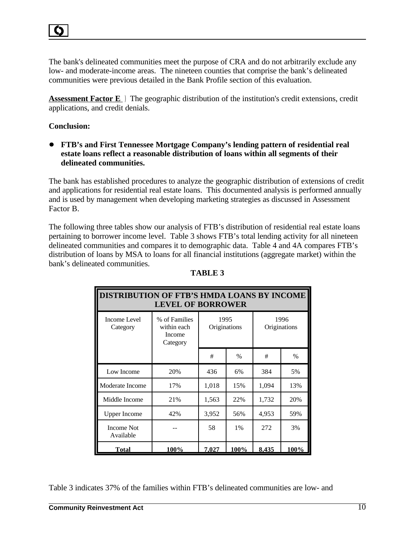The bank's delineated communities meet the purpose of CRA and do not arbitrarily exclude any low- and moderate-income areas. The nineteen counties that comprise the bank's delineated communities were previous detailed in the Bank Profile section of this evaluation.

**Assessment Factor E** ) The geographic distribution of the institution's credit extensions, credit applications, and credit denials.

## **Conclusion:**

! **FTB's and First Tennessee Mortgage Company's lending pattern of residential real estate loans reflect a reasonable distribution of loans within all segments of their delineated communities.** 

The bank has established procedures to analyze the geographic distribution of extensions of credit and applications for residential real estate loans. This documented analysis is performed annually and is used by management when developing marketing strategies as discussed in Assessment Factor B.

The following three tables show our analysis of FTB's distribution of residential real estate loans pertaining to borrower income level. Table 3 shows FTB's total lending activity for all nineteen delineated communities and compares it to demographic data. Table 4 and 4A compares FTB's distribution of loans by MSA to loans for all financial institutions (aggregate market) within the bank's delineated communities.

| <b>DISTRIBUTION OF FTB'S HMDA LOANS BY INCOME</b><br><b>LEVEL OF BORROWER</b> |                                                    |                      |       |       |                      |  |
|-------------------------------------------------------------------------------|----------------------------------------------------|----------------------|-------|-------|----------------------|--|
| Income Level<br>Category                                                      | % of Families<br>within each<br>Income<br>Category | 1995<br>Originations |       |       | 1996<br>Originations |  |
|                                                                               |                                                    | #                    | $\%$  | #     | $\%$                 |  |
| Low Income                                                                    | 20%                                                | 436                  | 6%    | 384   | 5%                   |  |
| Moderate Income                                                               | 17%                                                | 1,018                | 15%   | 1,094 | 13%                  |  |
| Middle Income                                                                 | 21%                                                | 1,563                | 22%   | 1,732 | 20%                  |  |
| <b>Upper Income</b>                                                           | 42%                                                | 3,952                | 56%   | 4,953 | 59%                  |  |
| Income Not<br>Available                                                       |                                                    | 58                   | $1\%$ | 272   | 3%                   |  |
| Total                                                                         | $100\%$                                            | 7.027                | 100%  | 8.435 | 100%                 |  |

#### **TABLE 3**

Table 3 indicates 37% of the families within FTB's delineated communities are low- and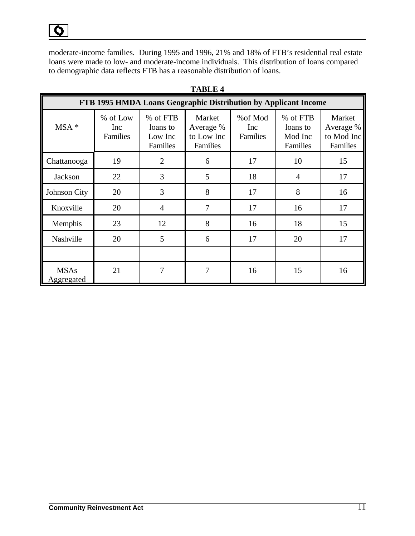moderate-income families. During 1995 and 1996, 21% and 18% of FTB's residential real estate loans were made to low- and moderate-income individuals. This distribution of loans compared to demographic data reflects FTB has a reasonable distribution of loans.

|                           | FTB 1995 HMDA Loans Geographic Distribution by Applicant Income |                                             |                                               |                                    |                                             |                                               |  |
|---------------------------|-----------------------------------------------------------------|---------------------------------------------|-----------------------------------------------|------------------------------------|---------------------------------------------|-----------------------------------------------|--|
| MSA *                     | % of Low<br>Inc<br>Families                                     | % of FTB<br>loans to<br>Low Inc<br>Families | Market<br>Average %<br>to Low Inc<br>Families | % of Mod<br>Inc<br><b>Families</b> | % of FTB<br>loans to<br>Mod Inc<br>Families | Market<br>Average %<br>to Mod Inc<br>Families |  |
| Chattanooga               | 19                                                              | $\overline{2}$                              | 6                                             | 17                                 | 10                                          | 15                                            |  |
| Jackson                   | 22                                                              | 3                                           | 5                                             | 18                                 | $\overline{4}$                              | 17                                            |  |
| Johnson City              | 20                                                              | 3                                           | 8                                             | 17                                 | 8                                           | 16                                            |  |
| Knoxville                 | 20                                                              | $\overline{4}$                              | 7                                             | 17                                 | 16                                          | 17                                            |  |
| Memphis                   | 23                                                              | 12                                          | 8                                             | 16                                 | 18                                          | 15                                            |  |
| Nashville                 | 20                                                              | 5                                           | 6                                             | 17                                 | 20                                          | 17                                            |  |
|                           |                                                                 |                                             |                                               |                                    |                                             |                                               |  |
| <b>MSAs</b><br>Aggregated | 21                                                              | 7                                           | 7                                             | 16                                 | 15                                          | 16                                            |  |

#### **TABLE 4**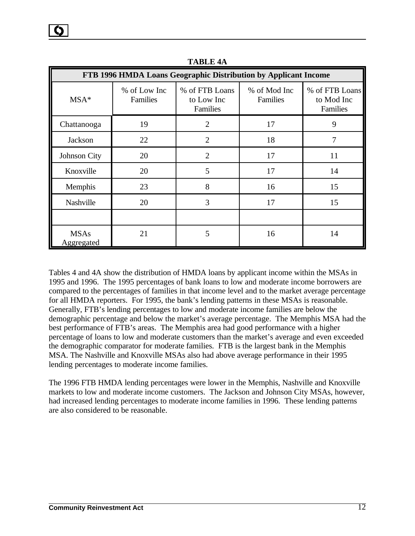| FTB 1996 HMDA Loans Geographic Distribution by Applicant Income |                          |                                          |                          |                                          |  |  |
|-----------------------------------------------------------------|--------------------------|------------------------------------------|--------------------------|------------------------------------------|--|--|
| $MSA*$                                                          | % of Low Inc<br>Families | % of FTB Loans<br>to Low Inc<br>Families | % of Mod Inc<br>Families | % of FTB Loans<br>to Mod Inc<br>Families |  |  |
| Chattanooga                                                     | 19                       | $\overline{2}$                           | 17                       | 9                                        |  |  |
| Jackson                                                         | 22                       | $\overline{2}$                           | 18                       | 7                                        |  |  |
| Johnson City                                                    | 20                       | $\overline{2}$                           | 17                       | 11                                       |  |  |
| Knoxville                                                       | 20                       | 5                                        | 17                       | 14                                       |  |  |
| Memphis                                                         | 23                       | 8                                        | 16                       | 15                                       |  |  |
| Nashville                                                       | 20                       | 3                                        | 17                       | 15                                       |  |  |
|                                                                 |                          |                                          |                          |                                          |  |  |
| <b>MSAs</b><br>Aggregated                                       | 21                       | 5                                        | 16                       | 14                                       |  |  |

**TABLE 4A**

Tables 4 and 4A show the distribution of HMDA loans by applicant income within the MSAs in 1995 and 1996. The 1995 percentages of bank loans to low and moderate income borrowers are compared to the percentages of families in that income level and to the market average percentage for all HMDA reporters. For 1995, the bank's lending patterns in these MSAs is reasonable. Generally, FTB's lending percentages to low and moderate income families are below the demographic percentage and below the market's average percentage. The Memphis MSA had the best performance of FTB's areas. The Memphis area had good performance with a higher percentage of loans to low and moderate customers than the market's average and even exceeded the demographic comparator for moderate families. FTB is the largest bank in the Memphis MSA. The Nashville and Knoxville MSAs also had above average performance in their 1995 lending percentages to moderate income families.

The 1996 FTB HMDA lending percentages were lower in the Memphis, Nashville and Knoxville markets to low and moderate income customers. The Jackson and Johnson City MSAs, however, had increased lending percentages to moderate income families in 1996. These lending patterns are also considered to be reasonable.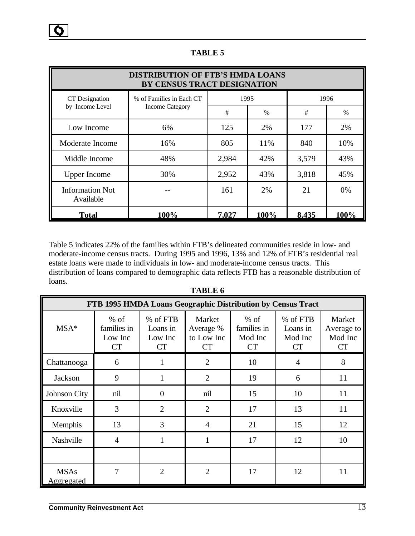| <b>DISTRIBUTION OF FTB'S HMDA LOANS</b><br>BY CENSUS TRACT DESIGNATION |                          |       |               |       |       |
|------------------------------------------------------------------------|--------------------------|-------|---------------|-------|-------|
| CT Designation                                                         | % of Families in Each CT | 1995  |               |       | 1996  |
| by Income Level                                                        | <b>Income Category</b>   | #     | $\frac{0}{0}$ | #     | $\%$  |
| Low Income                                                             | 6%                       | 125   | 2%            | 177   | 2%    |
| Moderate Income                                                        | 16%                      | 805   | 11%           | 840   | 10%   |
| Middle Income                                                          | 48%                      | 2,984 | 42%           | 3,579 | 43%   |
| <b>Upper Income</b>                                                    | 30%                      | 2,952 | 43%           | 3,818 | 45%   |
| <b>Information Not</b><br>Available                                    |                          | 161   | 2%            | 21    | $0\%$ |
| <b>Total</b>                                                           | 100%                     | 7,027 | 100%          | 8,435 | 100%  |

**TABLE 5**

Table 5 indicates 22% of the families within FTB's delineated communities reside in low- and moderate-income census tracts. During 1995 and 1996, 13% and 12% of FTB's residential real estate loans were made to individuals in low- and moderate-income census tracts. This distribution of loans compared to demographic data reflects FTB has a reasonable distribution of loans.

|                           | FTB 1995 HMDA Loans Geographic Distribution by Census Tract |                                       |                                                |                                               |                                       |                                              |
|---------------------------|-------------------------------------------------------------|---------------------------------------|------------------------------------------------|-----------------------------------------------|---------------------------------------|----------------------------------------------|
| $MSA*$                    | $%$ of<br>families in<br>Low Inc<br><b>CT</b>               | % of FTB<br>Loans in<br>Low Inc<br>CT | Market<br>Average %<br>to Low Inc<br><b>CT</b> | $%$ of<br>families in<br>Mod Inc<br><b>CT</b> | % of FTB<br>Loans in<br>Mod Inc<br>CT | Market<br>Average to<br>Mod Inc<br><b>CT</b> |
| Chattanooga               | 6                                                           |                                       | $\overline{2}$                                 | 10                                            | $\overline{4}$                        | 8                                            |
| Jackson                   | 9                                                           |                                       | $\overline{2}$                                 | 19                                            | 6                                     | 11                                           |
| Johnson City              | nil                                                         | 0                                     | nil                                            | 15                                            | 10                                    | 11                                           |
| Knoxville                 | 3                                                           | $\overline{2}$                        | $\overline{2}$                                 | 17                                            | 13                                    | 11                                           |
| Memphis                   | 13                                                          | 3                                     | $\overline{4}$                                 | 21                                            | 15                                    | 12                                           |
| Nashville                 | $\overline{4}$                                              |                                       |                                                | 17                                            | 12                                    | 10                                           |
|                           |                                                             |                                       |                                                |                                               |                                       |                                              |
| <b>MSAs</b><br>Aggregated | 7                                                           | $\overline{2}$                        | $\overline{2}$                                 | 17                                            | 12                                    | 11                                           |

**TABLE 6**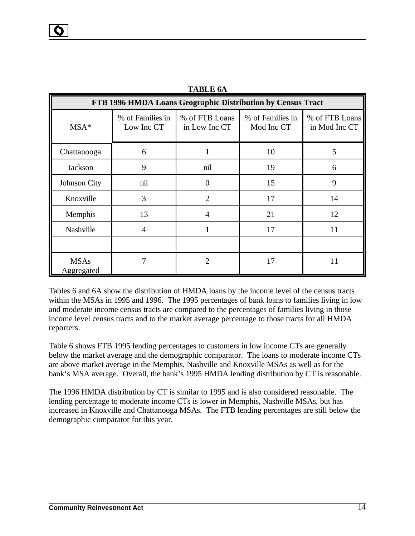| FTB 1996 HMDA Loans Geographic Distribution by Census Tract |                                |                                 |                                |                                 |  |  |
|-------------------------------------------------------------|--------------------------------|---------------------------------|--------------------------------|---------------------------------|--|--|
| $MSA*$                                                      | % of Families in<br>Low Inc CT | % of FTB Loans<br>in Low Inc CT | % of Families in<br>Mod Inc CT | % of FTB Loans<br>in Mod Inc CT |  |  |
| Chattanooga                                                 | 6                              |                                 | 10                             | 5                               |  |  |
| Jackson                                                     | 9                              | nil                             | 19                             | 6                               |  |  |
| Johnson City                                                | nil                            | 0                               | 15                             | 9                               |  |  |
| Knoxville                                                   | 3                              | $\mathcal{D}_{\mathcal{L}}$     | 17                             | 14                              |  |  |
| Memphis                                                     | 13                             | 4                               | 21                             | 12                              |  |  |
| Nashville                                                   | $\overline{4}$                 |                                 | 17                             | 11                              |  |  |
|                                                             |                                |                                 |                                |                                 |  |  |
| <b>MSAs</b><br><b>Aggregated</b>                            |                                | っ                               | 17                             | 11                              |  |  |

**TABLE 6A**

Tables 6 and 6A show the distribution of HMDA loans by the income level of the census tracts within the MSAs in 1995 and 1996. The 1995 percentages of bank loans to families living in low and moderate income census tracts are compared to the percentages of families living in those income level census tracts and to the market average percentage to those tracts for all HMDA reporters.

Table 6 shows FTB 1995 lending percentages to customers in low income CTs are generally below the market average and the demographic comparator. The loans to moderate income CTs are above market average in the Memphis, Nashville and Knoxville MSAs as well as for the bank's MSA average. Overall, the bank's 1995 HMDA lending distribution by CT is reasonable.

The 1996 HMDA distribution by CT is similar to 1995 and is also considered reasonable. The lending percentage to moderate income CTs is lower in Memphis, Nashville MSAs, but has increased in Knoxville and Chattanooga MSAs. The FTB lending percentages are still below the demographic comparator for this year.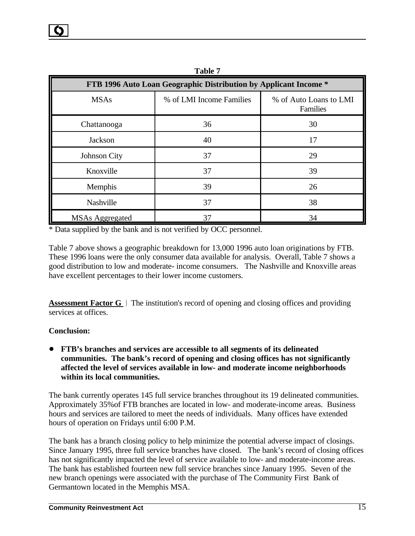| FTB 1996 Auto Loan Geographic Distribution by Applicant Income * |                          |                                    |  |  |  |
|------------------------------------------------------------------|--------------------------|------------------------------------|--|--|--|
| <b>MSAs</b>                                                      | % of LMI Income Families | % of Auto Loans to LMI<br>Families |  |  |  |
| Chattanooga                                                      | 36                       | 30                                 |  |  |  |
| Jackson                                                          | 40                       | 17                                 |  |  |  |
| Johnson City                                                     | 37                       | 29                                 |  |  |  |
| Knoxville                                                        | 37                       | 39                                 |  |  |  |
| Memphis                                                          | 39                       | 26                                 |  |  |  |
| Nashville                                                        | 37                       | 38                                 |  |  |  |
| <b>MSAs Aggregated</b>                                           | 37                       | 34                                 |  |  |  |

**Table 7**

\* Data supplied by the bank and is not verified by OCC personnel.

Table 7 above shows a geographic breakdown for 13,000 1996 auto loan originations by FTB. These 1996 loans were the only consumer data available for analysis. Overall, Table 7 shows a good distribution to low and moderate- income consumers. The Nashville and Knoxville areas have excellent percentages to their lower income customers.

**Assessment Factor G** ) The institution's record of opening and closing offices and providing services at offices.

#### **Conclusion:**

#### ! **FTB's branches and services are accessible to all segments of its delineated communities. The bank's record of opening and closing offices has not significantly affected the level of services available in low- and moderate income neighborhoods within its local communities.**

The bank currently operates 145 full service branches throughout its 19 delineated communities. Approximately 35%of FTB branches are located in low- and moderate-income areas. Business hours and services are tailored to meet the needs of individuals. Many offices have extended hours of operation on Fridays until 6:00 P.M.

The bank has a branch closing policy to help minimize the potential adverse impact of closings. Since January 1995, three full service branches have closed. The bank's record of closing offices has not significantly impacted the level of service available to low- and moderate-income areas. The bank has established fourteen new full service branches since January 1995. Seven of the new branch openings were associated with the purchase of The Community First Bank of Germantown located in the Memphis MSA.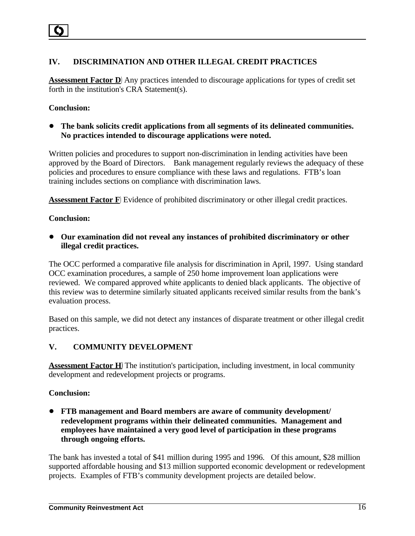## **IV. DISCRIMINATION AND OTHER ILLEGAL CREDIT PRACTICES**

**Assessment Factor D**) Any practices intended to discourage applications for types of credit set forth in the institution's CRA Statement(s).

#### **Conclusion:**

! **The bank solicits credit applications from all segments of its delineated communities. No practices intended to discourage applications were noted.** 

Written policies and procedures to support non-discrimination in lending activities have been approved by the Board of Directors. Bank management regularly reviews the adequacy of these policies and procedures to ensure compliance with these laws and regulations. FTB's loan training includes sections on compliance with discrimination laws.

**Assessment Factor F**) Evidence of prohibited discriminatory or other illegal credit practices.

#### **Conclusion:**

! **Our examination did not reveal any instances of prohibited discriminatory or other illegal credit practices.** 

The OCC performed a comparative file analysis for discrimination in April, 1997. Using standard OCC examination procedures, a sample of 250 home improvement loan applications were reviewed. We compared approved white applicants to denied black applicants. The objective of this review was to determine similarly situated applicants received similar results from the bank's evaluation process.

Based on this sample, we did not detect any instances of disparate treatment or other illegal credit practices.

## **V. COMMUNITY DEVELOPMENT**

**Assessment Factor H**)The institution's participation, including investment, in local community development and redevelopment projects or programs.

#### **Conclusion:**

! **FTB management and Board members are aware of community development/ redevelopment programs within their delineated communities. Management and employees have maintained a very good level of participation in these programs through ongoing efforts.** 

The bank has invested a total of \$41 million during 1995 and 1996. Of this amount, \$28 million supported affordable housing and \$13 million supported economic development or redevelopment projects. Examples of FTB's community development projects are detailed below.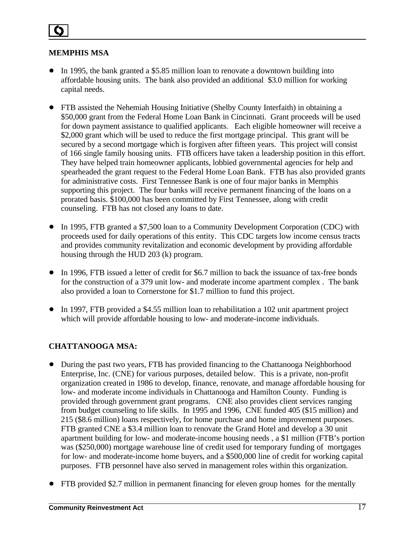## **MEMPHIS MSA**

- ! In 1995, the bank granted a \$5.85 million loan to renovate a downtown building into affordable housing units. The bank also provided an additional \$3.0 million for working capital needs.
- FTB assisted the Nehemiah Housing Initiative (Shelby County Interfaith) in obtaining a \$50,000 grant from the Federal Home Loan Bank in Cincinnati. Grant proceeds will be used for down payment assistance to qualified applicants. Each eligible homeowner will receive a \$2,000 grant which will be used to reduce the first mortgage principal. This grant will be secured by a second mortgage which is forgiven after fifteen years. This project will consist of 166 single family housing units. FTB officers have taken a leadership position in this effort. They have helped train homeowner applicants, lobbied governmental agencies for help and spearheaded the grant request to the Federal Home Loan Bank. FTB has also provided grants for administrative costs. First Tennessee Bank is one of four major banks in Memphis supporting this project. The four banks will receive permanent financing of the loans on a prorated basis. \$100,000 has been committed by First Tennessee, along with credit counseling. FTB has not closed any loans to date.
- In 1995, FTB granted a \$7,500 loan to a Community Development Corporation (CDC) with proceeds used for daily operations of this entity. This CDC targets low income census tracts and provides community revitalization and economic development by providing affordable housing through the HUD 203 (k) program.
- In 1996, FTB issued a letter of credit for \$6.7 million to back the issuance of tax-free bonds for the construction of a 379 unit low- and moderate income apartment complex . The bank also provided a loan to Cornerstone for \$1.7 million to fund this project.
- ! In 1997, FTB provided a \$4.55 million loan to rehabilitation a 102 unit apartment project which will provide affordable housing to low- and moderate-income individuals.

## **CHATTANOOGA MSA:**

- During the past two years, FTB has provided financing to the Chattanooga Neighborhood Enterprise, Inc. (CNE) for various purposes, detailed below. This is a private, non-profit organization created in 1986 to develop, finance, renovate, and manage affordable housing for low- and moderate income individuals in Chattanooga and Hamilton County. Funding is provided through government grant programs. CNE also provides client services ranging from budget counseling to life skills. In 1995 and 1996, CNE funded 405 (\$15 million) and 215 (\$8.6 million) loans respectively, for home purchase and home improvement purposes. FTB granted CNE a \$3.4 million loan to renovate the Grand Hotel and develop a 30 unit apartment building for low- and moderate-income housing needs , a \$1 million (FTB's portion was (\$250,000) mortgage warehouse line of credit used for temporary funding of mortgages for low- and moderate-income home buyers, and a \$500,000 line of credit for working capital purposes. FTB personnel have also served in management roles within this organization.
- FTB provided \$2.7 million in permanent financing for eleven group homes for the mentally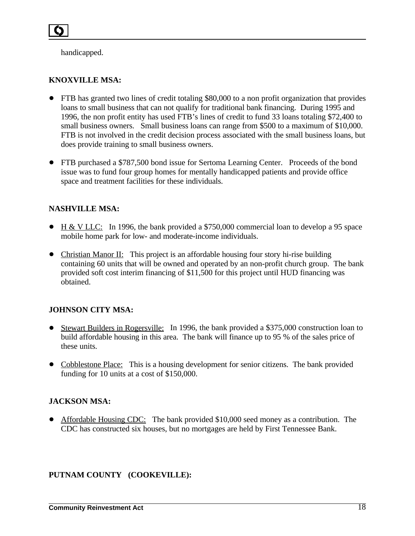handicapped.

## **KNOXVILLE MSA:**

- ! FTB has granted two lines of credit totaling \$80,000 to a non profit organization that provides loans to small business that can not qualify for traditional bank financing. During 1995 and 1996, the non profit entity has used FTB's lines of credit to fund 33 loans totaling \$72,400 to small business owners. Small business loans can range from \$500 to a maximum of \$10,000. FTB is not involved in the credit decision process associated with the small business loans, but does provide training to small business owners.
- FTB purchased a \$787,500 bond issue for Sertoma Learning Center. Proceeds of the bond issue was to fund four group homes for mentally handicapped patients and provide office space and treatment facilities for these individuals.

#### **NASHVILLE MSA:**

- $\bullet$  H & V LLC: In 1996, the bank provided a \$750,000 commercial loan to develop a 95 space mobile home park for low- and moderate-income individuals.
- Christian Manor II: This project is an affordable housing four story hi-rise building containing 60 units that will be owned and operated by an non-profit church group. The bank provided soft cost interim financing of \$11,500 for this project until HUD financing was obtained.

## **JOHNSON CITY MSA:**

- ! Stewart Builders in Rogersville: In 1996, the bank provided a \$375,000 construction loan to build affordable housing in this area. The bank will finance up to 95 % of the sales price of these units.
- Cobblestone Place: This is a housing development for senior citizens. The bank provided funding for 10 units at a cost of \$150,000.

#### **JACKSON MSA:**

• Affordable Housing CDC: The bank provided \$10,000 seed money as a contribution. The CDC has constructed six houses, but no mortgages are held by First Tennessee Bank.

## **PUTNAM COUNTY (COOKEVILLE):**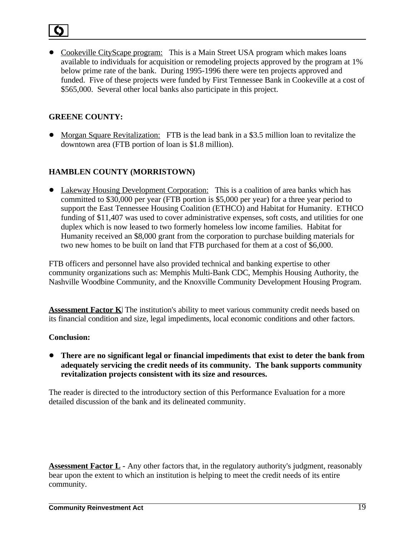• Cookeville CityScape program: This is a Main Street USA program which makes loans available to individuals for acquisition or remodeling projects approved by the program at 1% below prime rate of the bank. During 1995-1996 there were ten projects approved and funded. Five of these projects were funded by First Tennessee Bank in Cookeville at a cost of \$565,000. Several other local banks also participate in this project.

## **GREENE COUNTY:**

• Morgan Square Revitalization: FTB is the lead bank in a \$3.5 million loan to revitalize the downtown area (FTB portion of loan is \$1.8 million).

## **HAMBLEN COUNTY (MORRISTOWN)**

• Lakeway Housing Development Corporation: This is a coalition of area banks which has committed to \$30,000 per year (FTB portion is \$5,000 per year) for a three year period to support the East Tennessee Housing Coalition (ETHCO) and Habitat for Humanity. ETHCO funding of \$11,407 was used to cover administrative expenses, soft costs, and utilities for one duplex which is now leased to two formerly homeless low income families. Habitat for Humanity received an \$8,000 grant from the corporation to purchase building materials for two new homes to be built on land that FTB purchased for them at a cost of \$6,000.

FTB officers and personnel have also provided technical and banking expertise to other community organizations such as: Memphis Multi-Bank CDC, Memphis Housing Authority, the Nashville Woodbine Community, and the Knoxville Community Development Housing Program.

**Assessment Factor K**) The institution's ability to meet various community credit needs based on its financial condition and size, legal impediments, local economic conditions and other factors.

## **Conclusion:**

! **There are no significant legal or financial impediments that exist to deter the bank from adequately servicing the credit needs of its community. The bank supports community revitalization projects consistent with its size and resources.**

The reader is directed to the introductory section of this Performance Evaluation for a more detailed discussion of the bank and its delineated community.

**Assessment Factor L** - Any other factors that, in the regulatory authority's judgment, reasonably bear upon the extent to which an institution is helping to meet the credit needs of its entire community.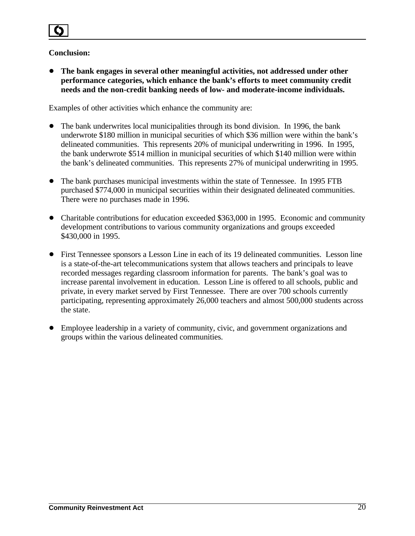## **Conclusion:**

! **The bank engages in several other meaningful activities, not addressed under other performance categories, which enhance the bank's efforts to meet community credit needs and the non-credit banking needs of low- and moderate-income individuals.**

Examples of other activities which enhance the community are:

- The bank underwrites local municipalities through its bond division. In 1996, the bank underwrote \$180 million in municipal securities of which \$36 million were within the bank's delineated communities. This represents 20% of municipal underwriting in 1996. In 1995, the bank underwrote \$514 million in municipal securities of which \$140 million were within the bank's delineated communities. This represents 27% of municipal underwriting in 1995.
- The bank purchases municipal investments within the state of Tennessee. In 1995 FTB purchased \$774,000 in municipal securities within their designated delineated communities. There were no purchases made in 1996.
- Charitable contributions for education exceeded \$363,000 in 1995. Economic and community development contributions to various community organizations and groups exceeded \$430,000 in 1995.
- ! First Tennessee sponsors a Lesson Line in each of its 19 delineated communities. Lesson line is a state-of-the-art telecommunications system that allows teachers and principals to leave recorded messages regarding classroom information for parents. The bank's goal was to increase parental involvement in education. Lesson Line is offered to all schools, public and private, in every market served by First Tennessee. There are over 700 schools currently participating, representing approximately 26,000 teachers and almost 500,000 students across the state.
- ! Employee leadership in a variety of community, civic, and government organizations and groups within the various delineated communities.